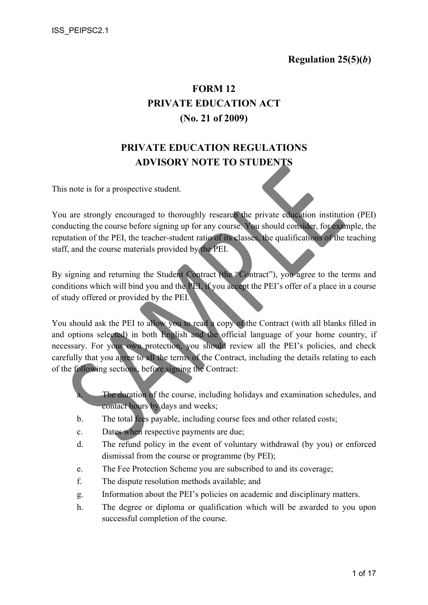# FORM 12 PRIVATE EDUCATION ACT (No. 21 of 2009)

# PRIVATE EDUCATION REGULATIONS ADVISORY NOTE TO STUDENTS

This note is for a prospective student.

You are strongly encouraged to thoroughly research the private education institution (PEI) conducting the course before signing up for any course. You should consider, for example, the reputation of the PEI, the teacher-student ratio of its classes, the qualifications of the teaching staff, and the course materials provided by the PEI.

By signing and returning the Student Contract (the "Contract"), you agree to the terms and conditions which will bind you and the PEI, if you accept the PEI's offer of a place in a course of study offered or provided by the PEI.

You should ask the PEI to allow you to read a copy of the Contract (with all blanks filled in and options selected) in both English and the official language of your home country, if necessary. For your own protection, you should review all the PEI's policies, and check carefully that you agree to all the terms of the Contract, including the details relating to each of the following sections, before signing the Contract:

> The duration of the course, including holidays and examination schedules, and contact hours by days and weeks;

- b. The total fees payable, including course fees and other related costs;
- c. Dates when respective payments are due;
- d. The refund policy in the event of voluntary withdrawal (by you) or enforced dismissal from the course or programme (by PEI);
- e. The Fee Protection Scheme you are subscribed to and its coverage;
- f. The dispute resolution methods available; and
- g. Information about the PEI's policies on academic and disciplinary matters.
- h. The degree or diploma or qualification which will be awarded to you upon successful completion of the course.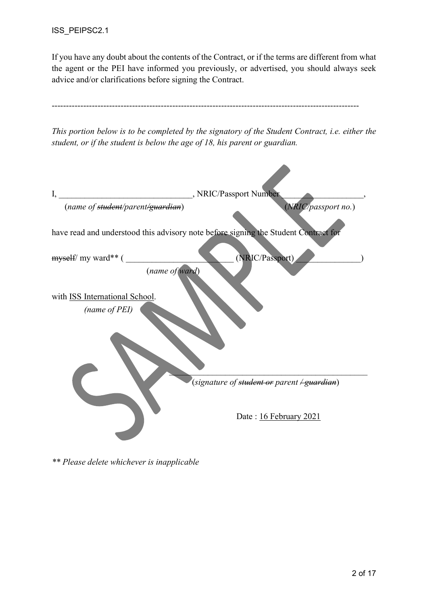If you have any doubt about the contents of the Contract, or if the terms are different from what the agent or the PEI have informed you previously, or advertised, you should always seek advice and/or clarifications before signing the Contract.

| student, or if the student is below the age of 18, his parent or guardian. | This portion below is to be completed by the signatory of the Student Contract, i.e. either the |
|----------------------------------------------------------------------------|-------------------------------------------------------------------------------------------------|
| I,<br>(name of student/parent/guardian)                                    | , NRIC/Passport Number<br>(NRIC/passport no.)                                                   |
|                                                                            | have read and understood this advisory note before signing the Student Contract for             |
| myself/ my ward** (<br>(name of ward)                                      | (NRIC/Passport)                                                                                 |
| with ISS International School.<br>(name of PEI)                            |                                                                                                 |
|                                                                            | (signature of <del>student or</del> parent <del>/ guardian</del> )                              |
|                                                                            | Date: 16 February 2021                                                                          |

\*\* Please delete whichever is inapplicable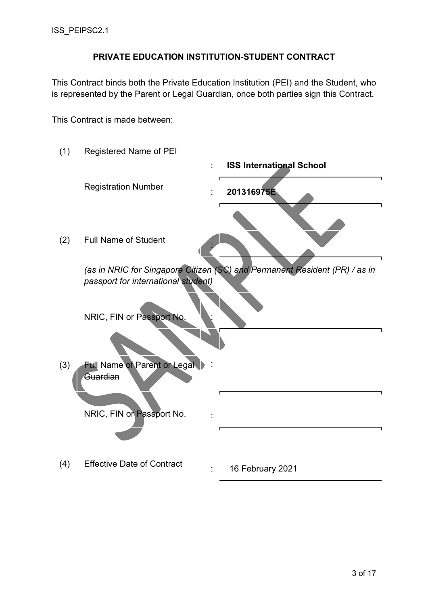### PRIVATE EDUCATION INSTITUTION-STUDENT CONTRACT

This Contract binds both the Private Education Institution (PEI) and the Student, who is represented by the Parent or Legal Guardian, once both parties sign this Contract.

This Contract is made between:

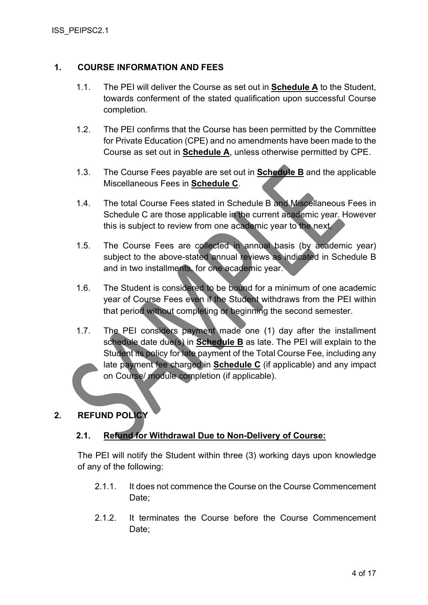### 1. COURSE INFORMATION AND FEES

- 1.1. The PEI will deliver the Course as set out in Schedule A to the Student, towards conferment of the stated qualification upon successful Course completion.
- 1.2. The PEI confirms that the Course has been permitted by the Committee for Private Education (CPE) and no amendments have been made to the Course as set out in **Schedule A**, unless otherwise permitted by CPE.
- 1.3. The Course Fees payable are set out in Schedule B and the applicable Miscellaneous Fees in **Schedule C**.
- 1.4. The total Course Fees stated in Schedule B and Miscellaneous Fees in Schedule C are those applicable in the current academic year. However this is subject to review from one academic year to the next.
- 1.5. The Course Fees are collected in annual basis (by academic year) subject to the above-stated annual reviews as indicated in Schedule B and in two installments, for one academic year.
- 1.6. The Student is considered to be bound for a minimum of one academic year of Course Fees even if the Student withdraws from the PEI within that period without completing or beginning the second semester.
- 1.7. The PEI considers payment made one (1) day after the installment schedule date due(s) in **Schedule B** as late. The PEI will explain to the Student its policy for late payment of the Total Course Fee, including any late payment fee charged in **Schedule C** (if applicable) and any impact on Course/ module completion (if applicable).

### 2. REFUND POLICY

### 2.1. Refund for Withdrawal Due to Non-Delivery of Course:

The PEI will notify the Student within three (3) working days upon knowledge of any of the following:

- 2.1.1. It does not commence the Course on the Course Commencement Date;
- 2.1.2. It terminates the Course before the Course Commencement Date: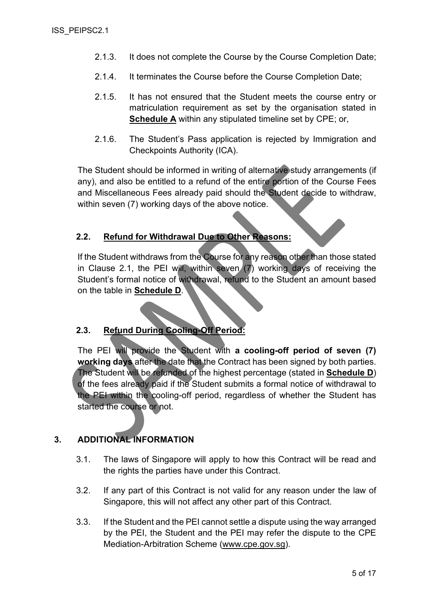- 2.1.3. It does not complete the Course by the Course Completion Date;
- 2.1.4. It terminates the Course before the Course Completion Date;
- 2.1.5. It has not ensured that the Student meets the course entry or matriculation requirement as set by the organisation stated in Schedule A within any stipulated timeline set by CPE; or,
- 2.1.6. The Student's Pass application is rejected by Immigration and Checkpoints Authority (ICA).

The Student should be informed in writing of alternative study arrangements (if any), and also be entitled to a refund of the entire portion of the Course Fees and Miscellaneous Fees already paid should the Student decide to withdraw, within seven (7) working days of the above notice.

#### 2.2. Refund for Withdrawal Due to Other Reasons:

If the Student withdraws from the Course for any reason other than those stated in Clause 2.1, the PEI will, within seven (7) working days of receiving the Student's formal notice of withdrawal, refund to the Student an amount based on the table in Schedule D.

### 2.3. Refund During Cooling-Off Period:

The PEI will provide the Student with a cooling-off period of seven (7) working days after the date that the Contract has been signed by both parties. The Student will be refunded of the highest percentage (stated in Schedule D) of the fees already paid if the Student submits a formal notice of withdrawal to the PEI within the cooling-off period, regardless of whether the Student has started the course or not.

### 3. ADDITIONAL INFORMATION

- 3.1. The laws of Singapore will apply to how this Contract will be read and the rights the parties have under this Contract.
- 3.2. If any part of this Contract is not valid for any reason under the law of Singapore, this will not affect any other part of this Contract.
- 3.3. If the Student and the PEI cannot settle a dispute using the way arranged by the PEI, the Student and the PEI may refer the dispute to the CPE Mediation-Arbitration Scheme (www.cpe.gov.sg).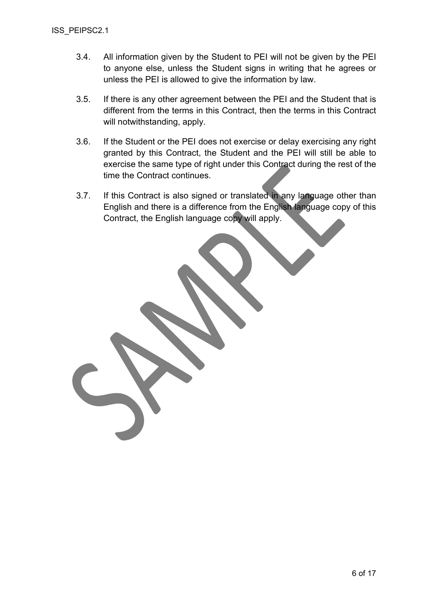- 3.4. All information given by the Student to PEI will not be given by the PEI to anyone else, unless the Student signs in writing that he agrees or unless the PEI is allowed to give the information by law.
- 3.5. If there is any other agreement between the PEI and the Student that is different from the terms in this Contract, then the terms in this Contract will notwithstanding, apply.
- 3.6. If the Student or the PEI does not exercise or delay exercising any right granted by this Contract, the Student and the PEI will still be able to exercise the same type of right under this Contract during the rest of the time the Contract continues.
- 3.7. If this Contract is also signed or translated in any language other than English and there is a difference from the English language copy of this Contract, the English language copy will apply.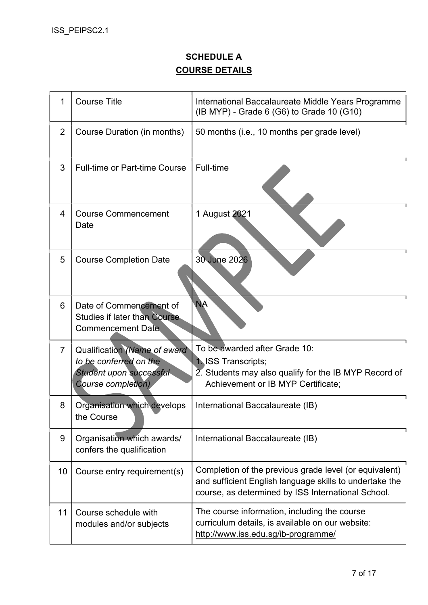## SCHEDULE A COURSE DETAILS

| 1              | <b>Course Title</b>                                                                                            | International Baccalaureate Middle Years Programme<br>(IB MYP) - Grade 6 (G6) to Grade 10 (G10)                                                                         |
|----------------|----------------------------------------------------------------------------------------------------------------|-------------------------------------------------------------------------------------------------------------------------------------------------------------------------|
| $\overline{2}$ | Course Duration (in months)                                                                                    | 50 months (i.e., 10 months per grade level)                                                                                                                             |
| 3              | <b>Full-time or Part-time Course</b>                                                                           | Full-time                                                                                                                                                               |
| 4              | <b>Course Commencement</b><br>Date                                                                             | 1 August 2021                                                                                                                                                           |
| 5              | <b>Course Completion Date</b>                                                                                  | 30 June 2026                                                                                                                                                            |
| 6              | Date of Commencement of<br><b>Studies if later than Course</b><br><b>Commencement Date</b>                     | <b>NA</b>                                                                                                                                                               |
| $\overline{7}$ | Qualification (Name of award<br>to be conferred on the<br>Student upon successful<br><b>Course completion)</b> | To be awarded after Grade 10:<br><b>1. ISS Transcripts;</b><br>2. Students may also qualify for the IB MYP Record of<br>Achievement or IB MYP Certificate;              |
| 8              | Organisation which develops<br>the Course                                                                      | International Baccalaureate (IB)                                                                                                                                        |
| 9              | Organisation which awards/<br>confers the qualification                                                        | International Baccalaureate (IB)                                                                                                                                        |
| 10             | Course entry requirement(s)                                                                                    | Completion of the previous grade level (or equivalent)<br>and sufficient English language skills to undertake the<br>course, as determined by ISS International School. |
| 11             | Course schedule with<br>modules and/or subjects                                                                | The course information, including the course<br>curriculum details, is available on our website:<br>http://www.iss.edu.sg/ib-programme/                                 |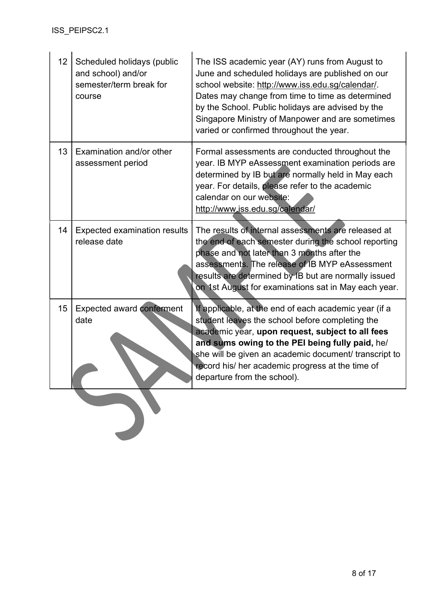| 13<br>Examination and/or other<br>Formal assessments are conducted throughout the<br>year. IB MYP eAssessment examination periods are<br>assessment period<br>determined by IB but are normally held in May each<br>year. For details, please refer to the academic<br>calendar on our website:<br>http://www.iss.edu.sg/calendar/<br>The results of internal assessments are released at<br>14<br><b>Expected examination results</b> |  |
|----------------------------------------------------------------------------------------------------------------------------------------------------------------------------------------------------------------------------------------------------------------------------------------------------------------------------------------------------------------------------------------------------------------------------------------|--|
|                                                                                                                                                                                                                                                                                                                                                                                                                                        |  |
| release date<br>the end of each semester during the school reporting<br>phase and not later than 3 months after the<br>assessments. The release of IB MYP eAssessment<br>results are determined by IB but are normally issued<br>on 1st August for examinations sat in May each year.                                                                                                                                                  |  |
| <b>Expected award conferment</b><br>15<br>If applicable, at the end of each academic year (if a<br>date<br>student leaves the school before completing the<br>academic year, upon request, subject to all fees<br>and sums owing to the PEI being fully paid, he/<br>she will be given an academic document/ transcript to<br>record his/ her academic progress at the time of<br>departure from the school).                          |  |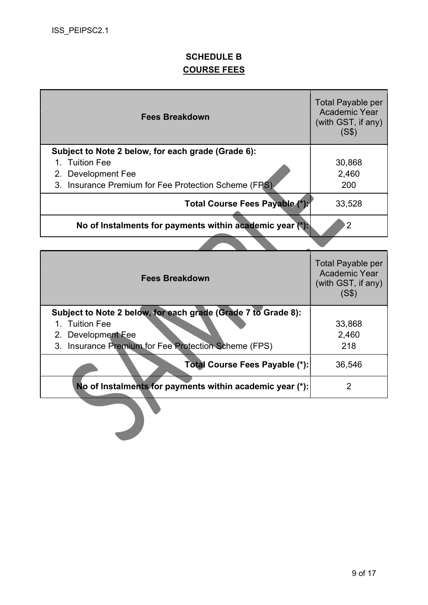## SCHEDULE B COURSE FEES

| <b>Fees Breakdown</b>                                                      | <b>Total Payable per</b><br><b>Academic Year</b><br>(with GST, if any)<br>(S\$) |
|----------------------------------------------------------------------------|---------------------------------------------------------------------------------|
| Subject to Note 2 below, for each grade (Grade 6):                         |                                                                                 |
| 1. Tuition Fee                                                             | 30,868                                                                          |
| 2. Development Fee<br>3. Insurance Premium for Fee Protection Scheme (FPS) | 2,460<br>200                                                                    |
| Total Course Fees Payable (*):                                             | 33,528                                                                          |
| No of Instalments for payments within academic year (*):                   | $\overline{2}$                                                                  |
|                                                                            |                                                                                 |
| <b>Fees Breakdown</b>                                                      | <b>Total Payable per</b><br><b>Academic Year</b><br>(with GST, if any)<br>(S\$) |
|                                                                            |                                                                                 |
| Subject to Note 2 below, for each grade (Grade 7 to Grade 8):              |                                                                                 |
| <b>Tuition Fee</b><br>$1_{-}$                                              | 33,868                                                                          |
| 2. Development Fee<br>3. Insurance Premium for Fee Protection Scheme (FPS) | 2,460<br>218                                                                    |
| Total Course Fees Payable (*):                                             | 36,546                                                                          |
| No of Instalments for payments within academic year (*):                   | $\overline{2}$                                                                  |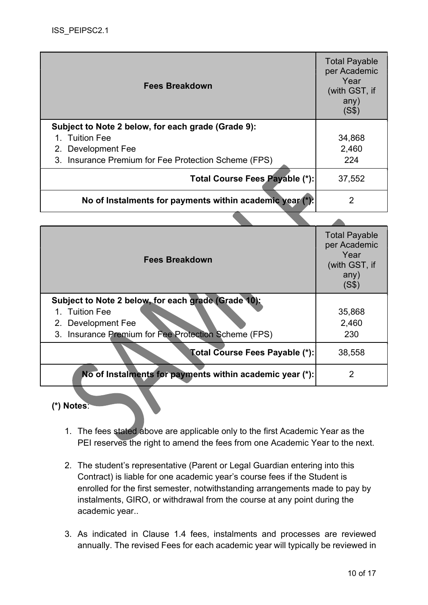| <b>Fees Breakdown</b>                                    | <b>Total Payable</b><br>per Academic<br>Year<br>(with GST, if<br>any)<br>(S\$) |
|----------------------------------------------------------|--------------------------------------------------------------------------------|
| Subject to Note 2 below, for each grade (Grade 9):       |                                                                                |
| 1. Tuition Fee                                           | 34,868                                                                         |
| 2. Development Fee                                       | 2,460                                                                          |
| 3. Insurance Premium for Fee Protection Scheme (FPS)     | 224                                                                            |
| Total Course Fees Payable (*):                           | 37,552                                                                         |
| No of Instalments for payments within academic year (*). | 2                                                                              |

| <b>Fees Breakdown</b>                                                                                                                               | <b>Total Payable</b><br>per Academic<br>Year<br>(with GST, if<br>any)<br>(S\$) |
|-----------------------------------------------------------------------------------------------------------------------------------------------------|--------------------------------------------------------------------------------|
| Subject to Note 2 below, for each grade (Grade 10):<br>1. Tuition Fee<br>2. Development Fee<br>3. Insurance Premium for Fee Protection Scheme (FPS) | 35,868<br>2,460<br>230                                                         |
| Total Course Fees Payable (*):                                                                                                                      | 38,558                                                                         |
| No of Instalments for payments within academic year (*):                                                                                            | 2                                                                              |

### (\*) Notes:

- 1. The fees stated above are applicable only to the first Academic Year as the PEI reserves the right to amend the fees from one Academic Year to the next.
- 2. The student's representative (Parent or Legal Guardian entering into this Contract) is liable for one academic year's course fees if the Student is enrolled for the first semester, notwithstanding arrangements made to pay by instalments, GIRO, or withdrawal from the course at any point during the academic year..
- 3. As indicated in Clause 1.4 fees, instalments and processes are reviewed annually. The revised Fees for each academic year will typically be reviewed in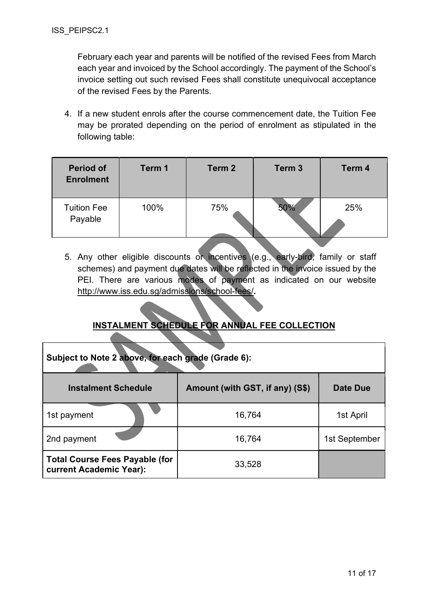February each year and parents will be notified of the revised Fees from March each year and invoiced by the School accordingly. The payment of the School's invoice setting out such revised Fees shall constitute unequivocal acceptance of the revised Fees by the Parents.

4. If a new student enrols after the course commencement date, the Tuition Fee may be prorated depending on the period of enrolment as stipulated in the following table:

| <b>Period of</b><br><b>Enrolment</b> | Term 1 | Term 2 | Term <sub>3</sub> | Term 4 |
|--------------------------------------|--------|--------|-------------------|--------|
| <b>Tuition Fee</b><br>Payable        | 100%   | 75%    | 50%               | 25%    |

5. Any other eligible discounts or incentives (e.g., early-bird, family or staff schemes) and payment due dates will be reflected in the invoice issued by the PEI. There are various modes of payment as indicated on our website http://www.iss.edu.sg/admissions/school-fees/.

## INSTALMENT SCHEDULE FOR ANNUAL FEE COLLECTION

| Subject to Note 2 above, for each grade (Grade 6):               |                                 |               |
|------------------------------------------------------------------|---------------------------------|---------------|
| <b>Instalment Schedule</b>                                       | Amount (with GST, if any) (S\$) | Date Due      |
| 1st payment                                                      | 16,764                          | 1st April     |
| 2nd payment                                                      | 16,764                          | 1st September |
| <b>Total Course Fees Payable (for</b><br>current Academic Year): | 33,528                          |               |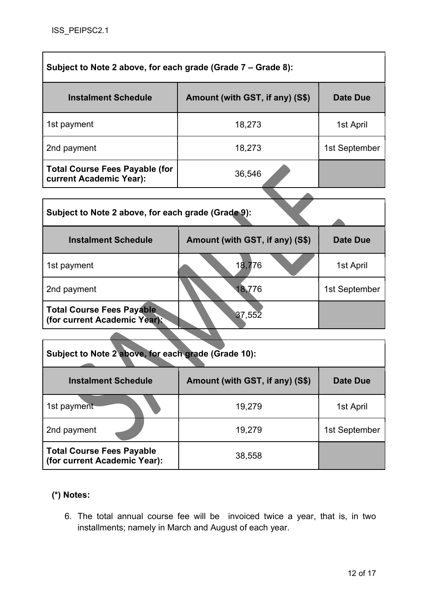| Subject to Note 2 above, for each grade (Grade 7 – Grade 8):     |                                 |               |
|------------------------------------------------------------------|---------------------------------|---------------|
| <b>Instalment Schedule</b>                                       | Amount (with GST, if any) (S\$) | Date Due      |
| 1st payment                                                      | 18,273                          | 1st April     |
| 2nd payment                                                      | 18,273                          | 1st September |
| <b>Total Course Fees Payable (for</b><br>current Academic Year): | 36,546                          |               |
|                                                                  |                                 |               |

| Subject to Note 2 above, for each grade (Grade 9):               |                                 |                 |
|------------------------------------------------------------------|---------------------------------|-----------------|
| <b>Instalment Schedule</b>                                       | Amount (with GST, if any) (S\$) | <b>Date Due</b> |
| 1st payment                                                      | 18,776                          | 1st April       |
| 2nd payment                                                      | 18,776                          | 1st September   |
| <b>Total Course Fees Payable</b><br>(for current Academic Year): | 37,552                          |                 |
|                                                                  |                                 |                 |

| Subject to Note 2 above, for each grade (Grade 10):              |                                 |               |
|------------------------------------------------------------------|---------------------------------|---------------|
| <b>Instalment Schedule</b>                                       | Amount (with GST, if any) (S\$) | Date Due      |
| 1st payment                                                      | 19,279                          | 1st April     |
| 2nd payment                                                      | 19,279                          | 1st September |
| <b>Total Course Fees Payable</b><br>(for current Academic Year): | 38,558                          |               |

## (\*) Notes:

6. The total annual course fee will be invoiced twice a year, that is, in two installments; namely in March and August of each year.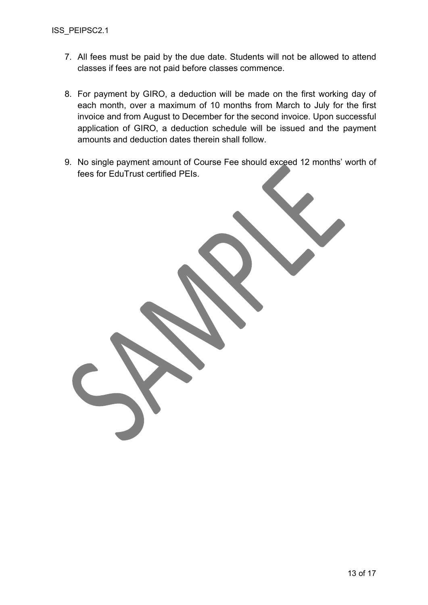- 7. All fees must be paid by the due date. Students will not be allowed to attend classes if fees are not paid before classes commence.
- 8. For payment by GIRO, a deduction will be made on the first working day of each month, over a maximum of 10 months from March to July for the first invoice and from August to December for the second invoice. Upon successful application of GIRO, a deduction schedule will be issued and the payment amounts and deduction dates therein shall follow.
- 9. No single payment amount of Course Fee should exceed 12 months' worth of fees for EduTrust certified PEIs.

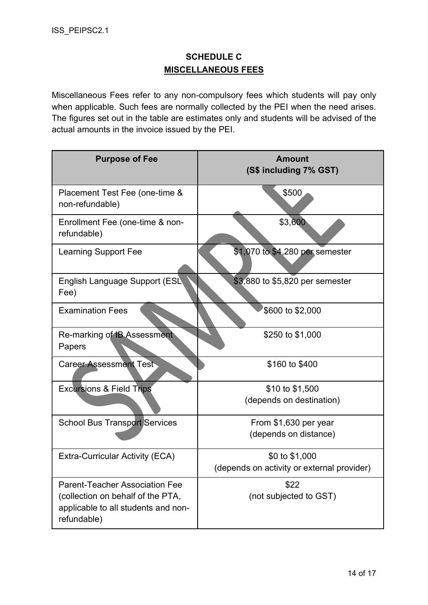## SCHEDULE C MISCELLANEOUS FEES

Miscellaneous Fees refer to any non-compulsory fees which students will pay only when applicable. Such fees are normally collected by the PEI when the need arises. The figures set out in the table are estimates only and students will be advised of the actual amounts in the invoice issued by the PEI.

| <b>Purpose of Fee</b>                                                                   | <b>Amount</b><br>(S\$ including 7% GST)    |
|-----------------------------------------------------------------------------------------|--------------------------------------------|
| Placement Test Fee (one-time &<br>non-refundable)                                       | \$500                                      |
| Enrollment Fee (one-time & non-<br>refundable)                                          | \$3,600                                    |
| <b>Learning Support Fee</b>                                                             | \$1,070 to \$4,280 per semester            |
| English Language Support (ESL<br>Fee)                                                   | \$3,880 to \$5,820 per semester            |
| <b>Examination Fees</b>                                                                 | \$600 to \$2,000                           |
| Re-marking of IB Assessment<br>Papers                                                   | \$250 to \$1,000                           |
| <b>Career Assessment Test</b>                                                           | \$160 to \$400                             |
| <b>Excursions &amp; Field Trips</b>                                                     | \$10 to \$1,500                            |
|                                                                                         | (depends on destination)                   |
| <b>School Bus Transport Services</b>                                                    | From \$1,630 per year                      |
|                                                                                         | (depends on distance)                      |
| <b>Extra-Curricular Activity (ECA)</b>                                                  | \$0 to \$1,000                             |
|                                                                                         | (depends on activity or external provider) |
| <b>Parent-Teacher Association Fee</b>                                                   | \$22                                       |
| (collection on behalf of the PTA,<br>applicable to all students and non-<br>refundable) | (not subjected to GST)                     |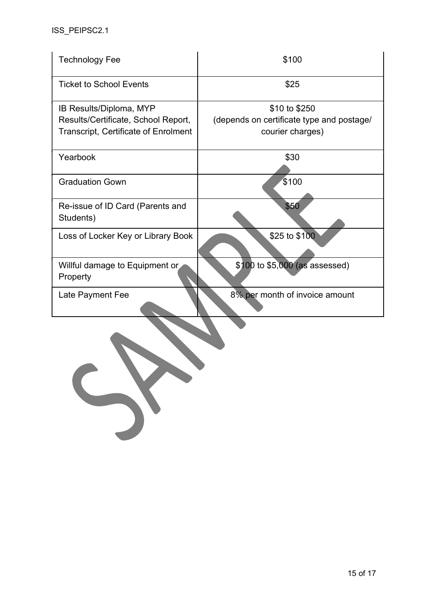| <b>Technology Fee</b>                                                                                         | \$100                                                                          |
|---------------------------------------------------------------------------------------------------------------|--------------------------------------------------------------------------------|
| <b>Ticket to School Events</b>                                                                                | \$25                                                                           |
| IB Results/Diploma, MYP<br>Results/Certificate, School Report,<br><b>Transcript, Certificate of Enrolment</b> | \$10 to \$250<br>(depends on certificate type and postage/<br>courier charges) |
| Yearbook                                                                                                      | \$30                                                                           |
| <b>Graduation Gown</b>                                                                                        | \$100                                                                          |
| Re-issue of ID Card (Parents and<br>Students)                                                                 | \$50                                                                           |
| Loss of Locker Key or Library Book                                                                            | \$25 to \$100                                                                  |
| Willful damage to Equipment or<br>Property                                                                    | \$100 to \$5,000 (as assessed)                                                 |
| Late Payment Fee                                                                                              | 8% per month of invoice amount                                                 |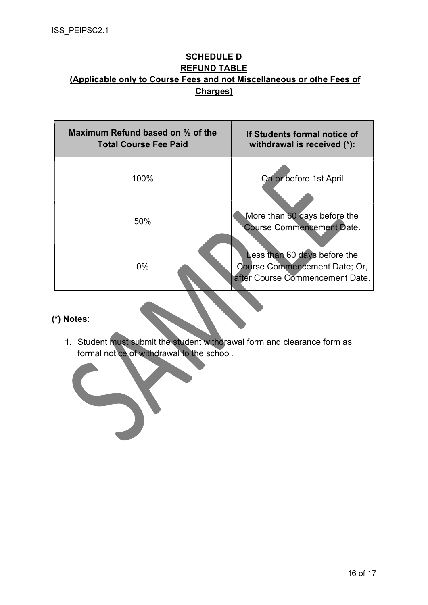### SCHEDULE D REFUND TABLE (Applicable only to Course Fees and not Miscellaneous or othe Fees of Charges)

| Maximum Refund based on % of the<br><b>Total Course Fee Paid</b> | If Students formal notice of<br>withdrawal is received (*):                                             |
|------------------------------------------------------------------|---------------------------------------------------------------------------------------------------------|
| 100%                                                             | On or before 1st April                                                                                  |
| 50%                                                              | More than 60 days before the<br><b>Course Commencement Date.</b>                                        |
| $0\%$                                                            | Less than 60 days before the<br><b>Course Commencement Date: Or.</b><br>after Course Commencement Date. |

### (\*) Notes:

1. Student must submit the student withdrawal form and clearance form as formal notice of withdrawal to the school.